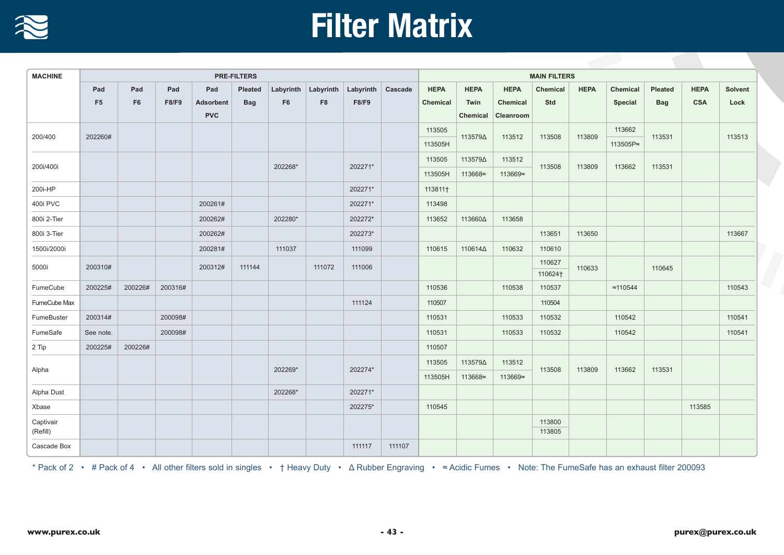

## **Filter Matrix**

| <b>MACHINE</b> | <b>PRE-FILTERS</b> |                |              |            |            |                     |                |                   |        |             | <b>MAIN FILTERS</b> |             |                  |             |                  |            |             |         |  |
|----------------|--------------------|----------------|--------------|------------|------------|---------------------|----------------|-------------------|--------|-------------|---------------------|-------------|------------------|-------------|------------------|------------|-------------|---------|--|
|                | Pad                | Pad            | Pad          | Pad        | Pleated    | Labyrinth Labyrinth |                | Labyrinth Cascade |        | <b>HEPA</b> | <b>HEPA</b>         | <b>HEPA</b> | Chemical         | <b>HEPA</b> | Chemical         | Pleated    | <b>HEPA</b> | Solvent |  |
|                | F <sub>5</sub>     | F <sub>6</sub> | <b>F8/F9</b> | Adsorbent  | <b>Bag</b> | F <sub>6</sub>      | F <sub>8</sub> | F8/F9             |        | Chemical    | Twin                | Chemical    | Std              |             | Special          | <b>Bag</b> | <b>CSA</b>  | Lock    |  |
|                |                    |                |              | <b>PVC</b> |            |                     |                |                   |        |             | Chemical            | Cleanroom   |                  |             |                  |            |             |         |  |
| 200/400        | 202260#            |                |              |            |            |                     |                |                   |        | 113505      | 113579∆             | 113512      | 113508           | 113809      | 113662           | 113531     |             | 113513  |  |
|                |                    |                |              |            |            |                     |                |                   |        | 113505H     |                     |             |                  |             | 113505P≈         |            |             |         |  |
| 200i/400i      |                    |                |              |            |            | 202268*             |                | 202271*           |        | 113505      | 113579∆             | 113512      | 113508<br>113809 |             | 113662           | 113531     |             |         |  |
|                |                    |                |              |            |            |                     |                |                   |        | 113505H     | 113668≈             | 113669≈     |                  |             |                  |            |             |         |  |
| 200i-HP        |                    |                |              |            |            |                     |                | 202271*           |        | 113811+     |                     |             |                  |             |                  |            |             |         |  |
| 400i PVC       |                    |                |              | 200261#    |            |                     |                | 202271*           |        | 113498      |                     |             |                  |             |                  |            |             |         |  |
| 800i 2-Tier    |                    |                |              | 200262#    |            | 202280*             |                | 202272*           |        | 113652      | 113660 $\Delta$     | 113658      |                  |             |                  |            |             |         |  |
| 800i 3-Tier    |                    |                |              | 200262#    |            |                     |                | 202273*           |        |             |                     |             | 113651           | 113650      |                  |            |             | 113667  |  |
| 1500i/2000i    |                    |                |              | 200281#    |            | 111037              |                | 111099            |        | 110615      | 110614 $\Delta$     | 110632      | 110610           |             |                  |            |             |         |  |
| 5000i          | 200310#            |                |              | 200312#    | 111144     |                     | 111072         | 111006            |        |             |                     |             | 110627           | 110633      |                  | 110645     |             |         |  |
|                |                    |                |              |            |            |                     |                |                   |        |             |                     |             | 110624†          |             |                  |            |             |         |  |
| FumeCube       | 200225#            | 200226#        | 200316#      |            |            |                     |                |                   |        | 110536      |                     | 110538      | 110537           |             | $\approx 110544$ |            |             | 110543  |  |
| FumeCube Max   |                    |                |              |            |            |                     |                | 111124            |        | 110507      |                     |             | 110504           |             |                  |            |             |         |  |
| FumeBuster     | 200314#            |                | 200098#      |            |            |                     |                |                   |        | 110531      |                     | 110533      | 110532           |             | 110542           |            |             | 110541  |  |
| FumeSafe       | See note.          |                | 200098#      |            |            |                     |                |                   |        | 110531      |                     | 110533      | 110532           |             | 110542           |            |             | 110541  |  |
| 2 Tip          | 200225#            | 200226#        |              |            |            |                     |                |                   |        | 110507      |                     |             |                  |             |                  |            |             |         |  |
| Alpha          |                    |                |              |            |            | 202269*             |                | 202274*           |        | 113505      | 113579∆             | 113512      | 113508<br>113809 | 113662      | 113531           |            |             |         |  |
|                |                    |                |              |            |            |                     |                |                   |        | 113505H     | 113668≈             | 113669≈     |                  |             |                  |            |             |         |  |
| Alpha Dust     |                    |                |              |            |            | 202268*             |                | 202271*           |        |             |                     |             |                  |             |                  |            |             |         |  |
| Xbase          |                    |                |              |            |            |                     |                | 202275*           |        | 110545      |                     |             |                  |             |                  |            | 113585      |         |  |
| Captivair      |                    |                |              |            |            |                     |                |                   |        |             |                     |             | 113800           |             |                  |            |             |         |  |
| (Refill)       |                    |                |              |            |            |                     |                |                   |        |             |                     |             | 113805           |             |                  |            |             |         |  |
| Cascade Box    |                    |                |              |            |            |                     |                | 111117            | 111107 |             |                     |             |                  |             |                  |            |             |         |  |

\* Pack of 2 • # Pack of 4 • All other filters sold in singles • † Heavy Duty • Δ Rubber Engraving • <sup>≈</sup> Acidic Fumes • Note: The FumeSafe has an exhaust filter 200093